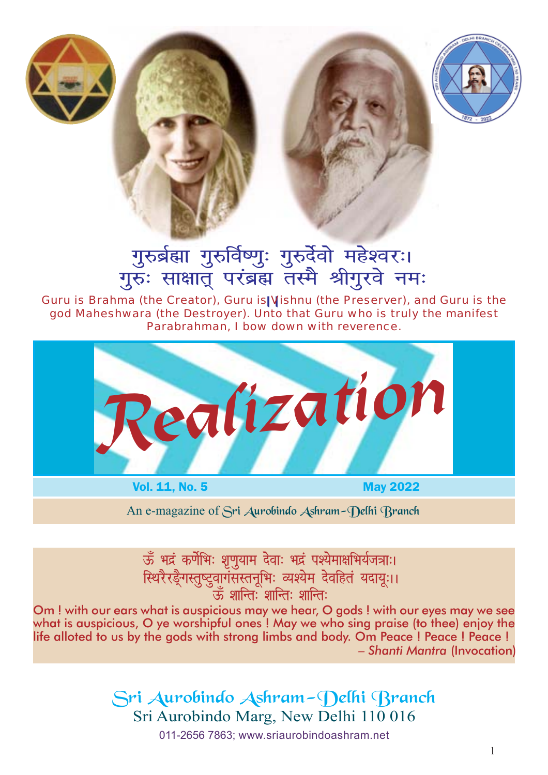



# गुरुर्ब्रह्मा गुरुर्विष्णुः गुरु<mark>र्देवो महेश्वरः</mark>। wa wa singles of the singles of the singles of the singles of the singles of the singles of the singles of the s<br><mark>गुरुः साक्षात् परंब्रह्म तस्मै श्रीगुरवे नमः</mark>

Guru is Brahma (the Creator), Guru is Vishnu (the Preserver), and Guru is the god Maheshwara (the Destroyer). Unto that Guru who is truly the manifest Parabrahman, I bow down with reverence.



An e-magazine of Sri Aurobindo Ashram-Delhi Branch

ऊँ <u>भद्रं</u> कर्णेभिः शृणुयाम देवाः भद्रं पश्येमाक्षभिर्यजत्राः। स्थिरैरङ्रैगस्तुष्टुवागंसस्तनूभिः व्यश्येम देवहितं यदायूः।।  $\left(\stackrel{.}{\mathfrak{F}}\right)$  शान्तिः शान्तिः

Om ! with our ears what is auspicious may we hear, O gods ! with our eyes may we see what is auspicious, O ye worshipful ones ! May we who sing praise (to thee) enjoy the life alloted to us by the gods with strong limbs and body. Om Peace ! Peace ! Peace ! *– Shanti Mantra* (Invocation)

> Sri Aurobindo Ashram-Delhi Branch Sri Aurobindo Marg, New Delhi 110 016

011-2656 7863; www.sriaurobindoashram.net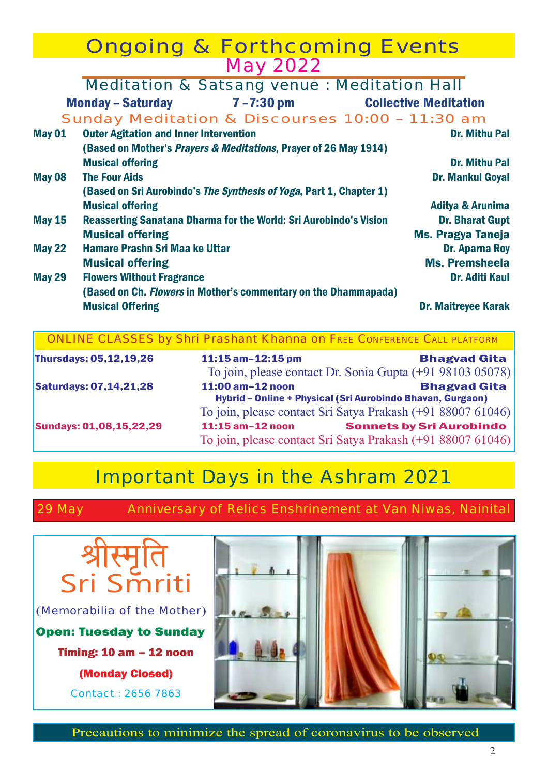|                          | <b>Ongoing &amp; Forthcoming Events</b>                                      |                            |  |  |  |  |
|--------------------------|------------------------------------------------------------------------------|----------------------------|--|--|--|--|
| <b>May 2022</b>          |                                                                              |                            |  |  |  |  |
|                          | Meditation & Satsang venue: Meditation Hall                                  |                            |  |  |  |  |
| <b>Monday - Saturday</b> | <b>Collective Meditation</b>                                                 |                            |  |  |  |  |
|                          | Sunday Meditation & Discourses 10:00 - 11:30 am                              |                            |  |  |  |  |
| <b>May 01</b>            | <b>Outer Agitation and Inner Intervention</b>                                | <b>Dr. Mithu Pal</b>       |  |  |  |  |
|                          | (Based on Mother's <i>Prayers &amp; Meditations</i> , Prayer of 26 May 1914) |                            |  |  |  |  |
|                          | <b>Musical offering</b>                                                      | <b>Dr. Mithu Pal</b>       |  |  |  |  |
| <b>May 08</b>            | <b>The Four Aids</b>                                                         | <b>Dr. Mankul Goyal</b>    |  |  |  |  |
|                          | (Based on Sri Aurobindo's <i>The Synthesis of Yoga</i> , Part 1, Chapter 1)  |                            |  |  |  |  |
|                          | <b>Musical offering</b>                                                      | Aditya & Arunima           |  |  |  |  |
| <b>May 15</b>            | <b>Reasserting Sanatana Dharma for the World: Sri Aurobindo's Vision</b>     | <b>Dr. Bharat Gupt</b>     |  |  |  |  |
|                          | <b>Musical offering</b>                                                      | <b>Ms. Pragya Taneja</b>   |  |  |  |  |
| <b>May 22</b>            | Hamare Prashn Sri Maa ke Uttar                                               | <b>Dr. Aparna Roy</b>      |  |  |  |  |
|                          | <b>Musical offering</b>                                                      | <b>Ms. Premsheela</b>      |  |  |  |  |
| <b>May 29</b>            | <b>Flowers Without Fragrance</b>                                             | <b>Dr. Aditi Kaul</b>      |  |  |  |  |
|                          | (Based on Ch. Flowers in Mother's commentary on the Dhammapada)              |                            |  |  |  |  |
|                          | <b>Musical Offering</b>                                                      | <b>Dr. Maitreyee Karak</b> |  |  |  |  |

ONLINE CLASSES by Shri Prashant Khanna on FREE CONFERENCE CALL PLATFORM

| <b>Thursdays: 05,12,19,26</b> | $11:15$ am- $12:15$ pm                                     | <b>Bhagvad Gita</b>                                         |  |
|-------------------------------|------------------------------------------------------------|-------------------------------------------------------------|--|
|                               | To join, please contact Dr. Sonia Gupta (+91 98103 05078)  |                                                             |  |
| <b>Saturdays: 07,14,21,28</b> | 11:00 am-12 noon                                           | <b>Bhagvad Gita</b>                                         |  |
|                               | Hybrid - Online + Physical (Sri Aurobindo Bhavan, Gurgaon) |                                                             |  |
|                               |                                                            | To join, please contact Sri Satya Prakash (+91 88007 61046) |  |
| Sundays: 01,08,15,22,29       | 11:15 am-12 noon                                           | <b>Sonnets by Sri Aurobindo</b>                             |  |
|                               |                                                            | To join, please contact Sri Satya Prakash (+91 88007 61046) |  |

# Important Days in the Ashram 2021

29 May Anniversary of Relics Enshrinement at Van Niwas, Nainital



Precautions to minimize the spread of coronavirus to be observed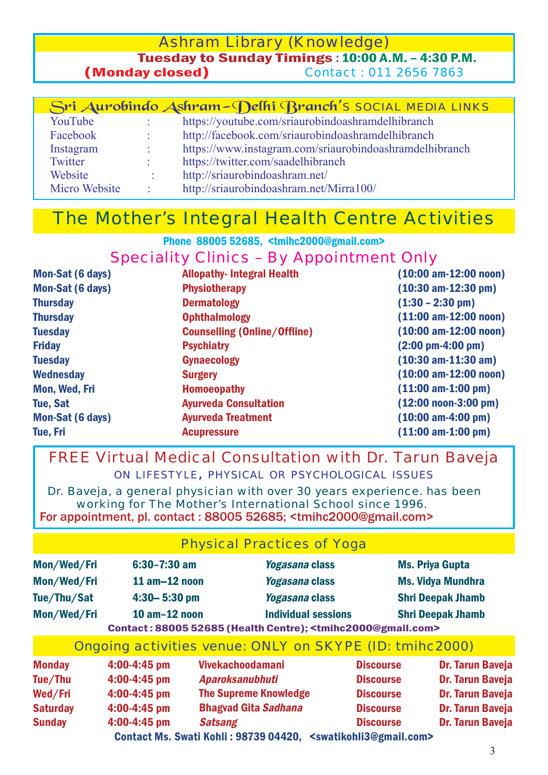Ashram Library (Knowledge) Tuesday to Sunday Timings : 10:00 A.M. – 4:30 P.M. **(Monday closed) Contact : 011 2656 7863**<br>**Contact : 011 2656 7863** 

|               |                | Sri Aurobindo Ashram-Delhi Branch's SOCIAL MEDIA LINKS  |
|---------------|----------------|---------------------------------------------------------|
| YouTube       |                | https://youtube.com/sriaurobindoashramdelhibranch       |
| Facebook      |                | http://facebook.com/sriaurobindoashramdelhibranch       |
| Instagram     | $\mathcal{L}$  | https://www.instagram.com/sriaurobindoashramdelhibranch |
| Twitter       | đ.             | https://twitter.com/saadelhibranch                      |
| Website       |                | http://sriaurobindoashram.net/                          |
| Micro Website | $\sim 10^{-1}$ | http://sriaurobindoashram.net/Mirra100/                 |

## The Mother's Integral Health Centre Activities

Phone 88005 52685, <tmihc2000@gmail.com>

Speciality Clinics – By Appointment Only

| Mon-Sat (6 days)     | <b>Allopathy- Integral Health</b>   | $(10:00$ am-12:00 noon)             |
|----------------------|-------------------------------------|-------------------------------------|
| Mon-Sat (6 days)     | <b>Physiotherapy</b>                | $(10:30$ am-12:30 pm)               |
| <b>Thursday</b>      | <b>Dermatology</b>                  | $(1:30 - 2:30)$ pm)                 |
| <b>Thursday</b>      | <b>Ophthalmology</b>                | $(11:00$ am-12:00 noon)             |
| <b>Tuesday</b>       | <b>Counselling (Online/Offline)</b> | $(10:00$ am-12:00 noon)             |
| <b>Friday</b>        | <b>Psychiatry</b>                   | $(2:00 \text{ pm-}4:00 \text{ pm})$ |
| <b>Tuesday</b>       | <b>Gynaecology</b>                  | $(10:30$ am-11:30 am)               |
| <b>Wednesday</b>     | <b>Surgery</b>                      | $(10:00$ am-12:00 noon)             |
| <b>Mon, Wed, Fri</b> | <b>Homoeopathy</b>                  | $(11:00$ am-1:00 pm)                |
| Tue, Sat             | <b>Ayurveda Consultation</b>        | $(12:00$ noon-3:00 pm)              |
| Mon-Sat (6 days)     | <b>Ayurveda Treatment</b>           | $(10:00$ am-4:00 pm)                |
| Tue, Fri             | <b>Acupressure</b>                  | $(11:00$ am-1:00 pm)                |

### FREE Virtual Medical Consultation with Dr. Tarun Baveja ON LIFESTYLE, PHYSICAL OR PSYCHOLOGICAL ISSUES

Dr. Baveja, a general physician with over 30 years experience. has been working for The Mother's International School since 1996. For appointment, pl. contact : 88005 52685; <tmihc2000@gmail.com>

|                                                                                                                                                                                                                                                                                                                                                                                                                                                            |                                                                              | <b>Physical Practices of Yoga</b>                                                                                                                                                                                           |                                                                                                  |                                                                                                                                     |  |  |  |  |
|------------------------------------------------------------------------------------------------------------------------------------------------------------------------------------------------------------------------------------------------------------------------------------------------------------------------------------------------------------------------------------------------------------------------------------------------------------|------------------------------------------------------------------------------|-----------------------------------------------------------------------------------------------------------------------------------------------------------------------------------------------------------------------------|--------------------------------------------------------------------------------------------------|-------------------------------------------------------------------------------------------------------------------------------------|--|--|--|--|
| Mon/Wed/Fri<br>$6:30 - 7:30$ am<br><b>Ms. Priya Gupta</b><br><i><b>Yogasana class</b></i><br>Mon/Wed/Fri<br><b>Ms. Vidya Mundhra</b><br>$11$ am $-12$ noon<br><i><b>Yogasana class</b></i><br>$4:30 - 5:30$ pm<br><b>Shri Deepak Jhamb</b><br>Tue/Thu/Sat<br>Yogasana class<br>Mon/Wed/Fri<br>10 am-12 noon<br><b>Individual sessions</b><br><b>Shri Deepak Jhamb</b><br>Contact: 88005 52685 (Health Centre); <tmihc2000@gmail.com></tmihc2000@gmail.com> |                                                                              |                                                                                                                                                                                                                             |                                                                                                  |                                                                                                                                     |  |  |  |  |
| Ongoing activities venue: ONLY on SKYPE (ID: tmihc2000)                                                                                                                                                                                                                                                                                                                                                                                                    |                                                                              |                                                                                                                                                                                                                             |                                                                                                  |                                                                                                                                     |  |  |  |  |
| <b>Monday</b><br>Tue/Thu<br>Wed/Fri<br><b>Saturday</b><br><b>Sunday</b>                                                                                                                                                                                                                                                                                                                                                                                    | 4:00-4:45 pm<br>4:00-4:45 pm<br>4:00-4:45 pm<br>4:00-4:45 pm<br>4:00-4:45 pm | <b>Vivekachoodamani</b><br><b>Aparoksanubhuti</b><br><b>The Supreme Knowledge</b><br><b>Bhagvad Gita Sadhana</b><br><b>Satsang</b><br>Contact Ms. Swati Kohli: 98739 04420, <swatikohli3@gmail.com></swatikohli3@gmail.com> | <b>Discourse</b><br><b>Discourse</b><br><b>Discourse</b><br><b>Discourse</b><br><b>Discourse</b> | <b>Dr. Tarun Baveja</b><br><b>Dr. Tarun Baveja</b><br><b>Dr. Tarun Baveja</b><br><b>Dr. Tarun Baveja</b><br><b>Dr. Tarun Baveja</b> |  |  |  |  |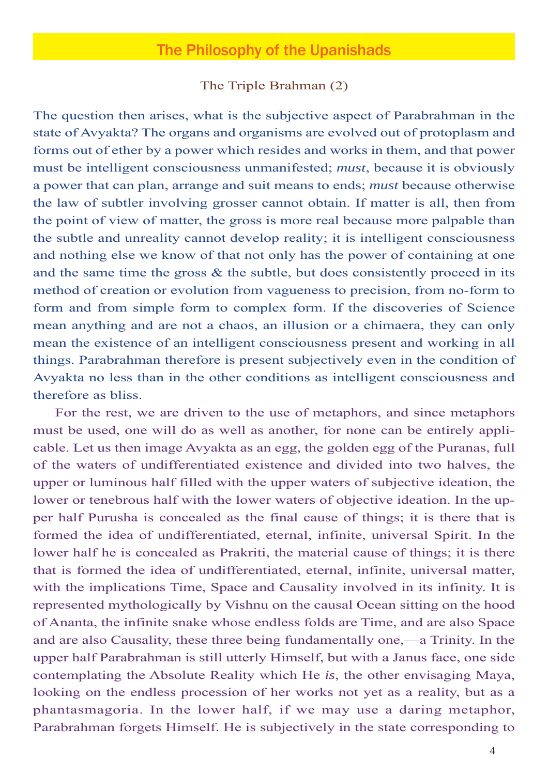### The Philosophy of the Upanishads

#### The Triple Brahman (2)

The question then arises, what is the subjective aspect of Parabrahman in the state of Avyakta? The organs and organisms are evolved out of protoplasm and forms out of ether by a power which resides and works in them, and that power must be intelligent consciousness unmanifested; *must*, because it is obviously a power that can plan, arrange and suit means to ends; *must* because otherwise the law of subtler involving grosser cannot obtain. If matter is all, then from the point of view of matter, the gross is more real because more palpable than the subtle and unreality cannot develop reality; it is intelligent consciousness and nothing else we know of that not only has the power of containing at one and the same time the gross & the subtle, but does consistently proceed in its method of creation or evolution from vagueness to precision, from no-form to form and from simple form to complex form. If the discoveries of Science mean anything and are not a chaos, an illusion or a chimaera, they can only mean the existence of an intelligent consciousness present and working in all things. Parabrahman therefore is present subjectively even in the condition of Avyakta no less than in the other conditions as intelligent consciousness and therefore as bliss.

For the rest, we are driven to the use of metaphors, and since metaphors must be used, one will do as well as another, for none can be entirely applicable. Let us then image Avyakta as an egg, the golden egg of the Puranas, full of the waters of undifferentiated existence and divided into two halves, the upper or luminous half filled with the upper waters of subjective ideation, the lower or tenebrous half with the lower waters of objective ideation. In the upper half Purusha is concealed as the final cause of things; it is there that is formed the idea of undifferentiated, eternal, infinite, universal Spirit. In the lower half he is concealed as Prakriti, the material cause of things; it is there that is formed the idea of undifferentiated, eternal, infinite, universal matter, with the implications Time, Space and Causality involved in its infinity. It is represented mythologically by Vishnu on the causal Ocean sitting on the hood of Ananta, the infinite snake whose endless folds are Time, and are also Space and are also Causality, these three being fundamentally one,—a Trinity. In the upper half Parabrahman is still utterly Himself, but with a Janus face, one side contemplating the Absolute Reality which He *is*, the other envisaging Maya, looking on the endless procession of her works not yet as a reality, but as a phantasmagoria. In the lower half, if we may use a daring metaphor, Parabrahman forgets Himself. He is subjectively in the state corresponding to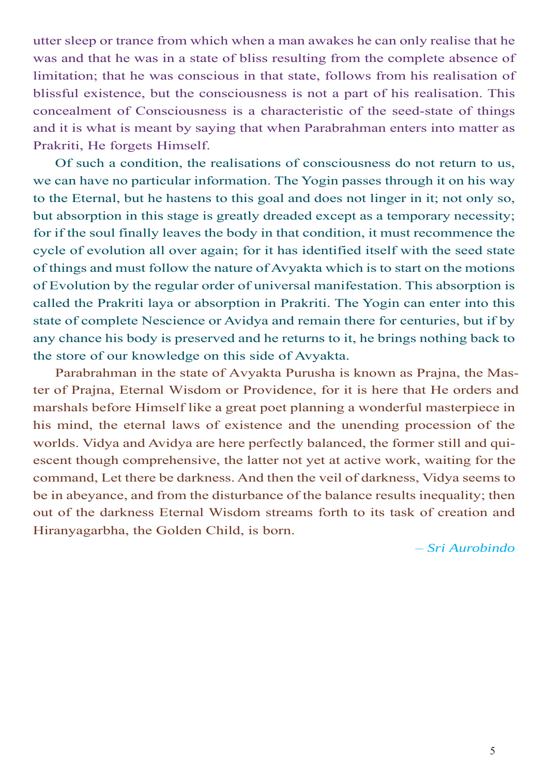utter sleep or trance from which when a man awakes he can only realise that he was and that he was in a state of bliss resulting from the complete absence of limitation; that he was conscious in that state, follows from his realisation of blissful existence, but the consciousness is not a part of his realisation. This concealment of Consciousness is a characteristic of the seed-state of things and it is what is meant by saying that when Parabrahman enters into matter as Prakriti, He forgets Himself.

Of such a condition, the realisations of consciousness do not return to us, we can have no particular information. The Yogin passes through it on his way to the Eternal, but he hastens to this goal and does not linger in it; not only so, but absorption in this stage is greatly dreaded except as a temporary necessity; for if the soul finally leaves the body in that condition, it must recommence the cycle of evolution all over again; for it has identified itself with the seed state of things and must follow the nature of Avyakta which is to start on the motions of Evolution by the regular order of universal manifestation. This absorption is called the Prakriti laya or absorption in Prakriti. The Yogin can enter into this state of complete Nescience or Avidya and remain there for centuries, but if by any chance his body is preserved and he returns to it, he brings nothing back to the store of our knowledge on this side of Avyakta.

Parabrahman in the state of Avyakta Purusha is known as Prajna, the Master of Prajna, Eternal Wisdom or Providence, for it is here that He orders and marshals before Himself like a great poet planning a wonderful masterpiece in his mind, the eternal laws of existence and the unending procession of the worlds. Vidya and Avidya are here perfectly balanced, the former still and quiescent though comprehensive, the latter not yet at active work, waiting for the command, Let there be darkness. And then the veil of darkness, Vidya seems to be in abeyance, and from the disturbance of the balance results inequality; then out of the darkness Eternal Wisdom streams forth to its task of creation and Hiranyagarbha, the Golden Child, is born.

– *Sri Aurobindo*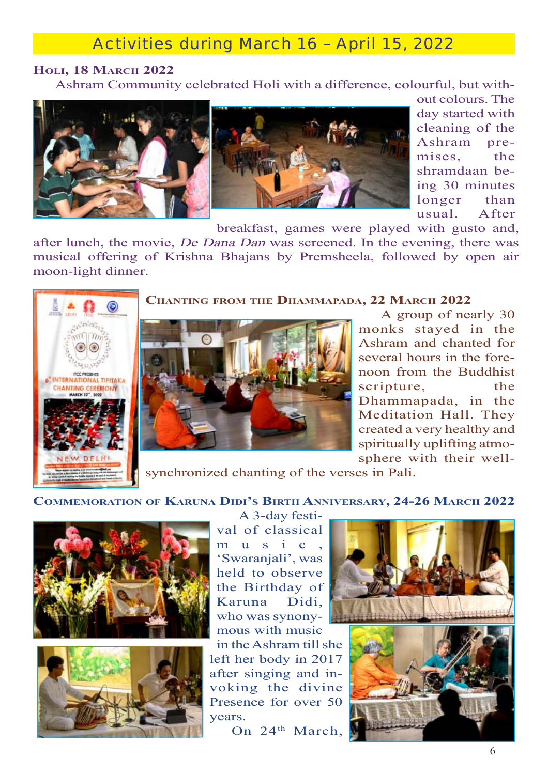## Activities during March 16 – April 15, 2022

#### **HOLI, 18 MARCH 2022**

Ashram Community celebrated Holi with a difference, colourful, but with-





out colours. The day started with cleaning of the Ashram premises, the shramdaan being 30 minutes longer than usual. After

breakfast, games were played with gusto and, after lunch, the movie, De Dana Dan was screened. In the evening, there was musical offering of Krishna Bhajans by Premsheela, followed by open air moon-light dinner.



#### **CHANTING FROM THE DHAMMAPADA, 22 MARCH 2022**



A group of nearly 30 monks stayed in the Ashram and chanted for several hours in the forenoon from the Buddhist scripture, the Dhammapada, in the Meditation Hall. They created a very healthy and spiritually uplifting atmosphere with their well-

synchronized chanting of the verses in Pali.

#### **COMMEMORATION OF KARUNA DIDI'S BIRTH ANNIVERSARY, 24-26 MARCH 2022**





A 3-day festi-

val of classical music, 'Swaranjali', was held to observe the Birthday of Karuna Didi, who was synonymous with music

in the Ashram till she left her body in 2017 after singing and invoking the divine Presence for over 50 years.

On 24<sup>th</sup> March,



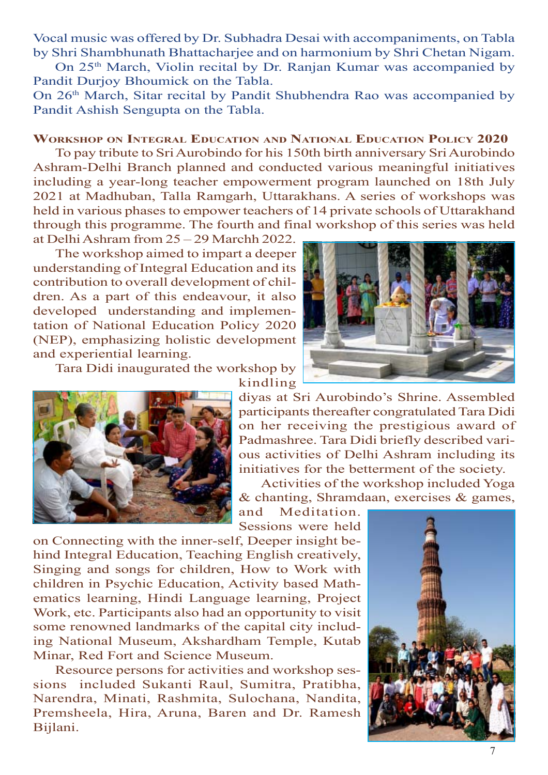Vocal music was offered by Dr. Subhadra Desai with accompaniments, on Tabla by Shri Shambhunath Bhattacharjee and on harmonium by Shri Chetan Nigam.

On 25th March, Violin recital by Dr. Ranjan Kumar was accompanied by Pandit Durjoy Bhoumick on the Tabla.

On 26th March, Sitar recital by Pandit Shubhendra Rao was accompanied by Pandit Ashish Sengupta on the Tabla.

#### **WORKSHOP ON INTEGRAL EDUCATION AND NATIONAL EDUCATION POLICY 2020**

To pay tribute to Sri Aurobindo for his 150th birth anniversary Sri Aurobindo Ashram-Delhi Branch planned and conducted various meaningful initiatives including a year-long teacher empowerment program launched on 18th July 2021 at Madhuban, Talla Ramgarh, Uttarakhans. A series of workshops was held in various phases to empower teachers of 14 private schools of Uttarakhand through this programme. The fourth and final workshop of this series was held at Delhi Ashram from 25 – 29 Marchh 2022.

kindling

The workshop aimed to impart a deeper understanding of Integral Education and its contribution to overall development of children. As a part of this endeavour, it also developed understanding and implementation of National Education Policy 2020 (NEP), emphasizing holistic development and experiential learning.

Tara Didi inaugurated the workshop by





diyas at Sri Aurobindo's Shrine. Assembled participants thereafter congratulated Tara Didi on her receiving the prestigious award of Padmashree. Tara Didi briefly described various activities of Delhi Ashram including its initiatives for the betterment of the society.

Activities of the workshop included Yoga & chanting, Shramdaan, exercises & games,

and Meditation. Sessions were held

on Connecting with the inner-self, Deeper insight behind Integral Education, Teaching English creatively, Singing and songs for children, How to Work with children in Psychic Education, Activity based Mathematics learning, Hindi Language learning, Project Work, etc. Participants also had an opportunity to visit some renowned landmarks of the capital city including National Museum, Akshardham Temple, Kutab Minar, Red Fort and Science Museum.

Resource persons for activities and workshop sessions included Sukanti Raul, Sumitra, Pratibha, Narendra, Minati, Rashmita, Sulochana, Nandita, Premsheela, Hira, Aruna, Baren and Dr. Ramesh Bijlani.

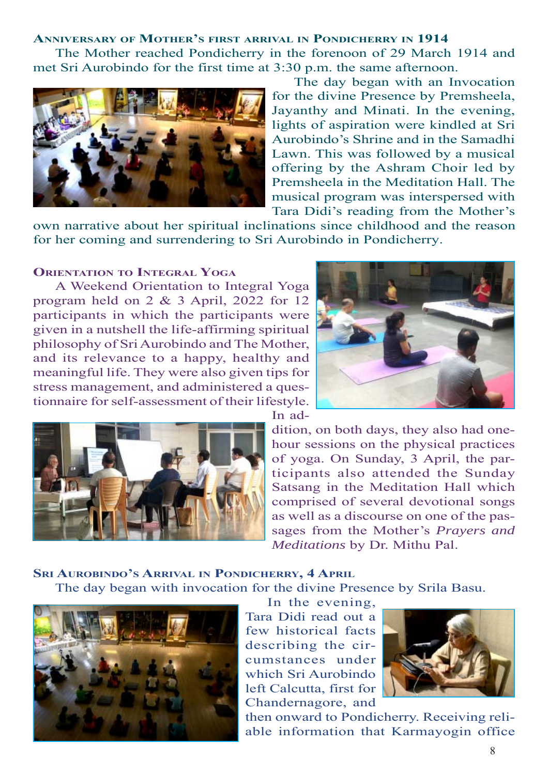#### **ANNIVERSARY OF MOTHER'S FIRST ARRIVAL IN PONDICHERRY IN 1914**

The Mother reached Pondicherry in the forenoon of 29 March 1914 and met Sri Aurobindo for the first time at 3:30 p.m. the same afternoon.



The day began with an Invocation for the divine Presence by Premsheela, Jayanthy and Minati. In the evening, lights of aspiration were kindled at Sri Aurobindo's Shrine and in the Samadhi Lawn. This was followed by a musical offering by the Ashram Choir led by Premsheela in the Meditation Hall. The musical program was interspersed with Tara Didi's reading from the Mother's

own narrative about her spiritual inclinations since childhood and the reason for her coming and surrendering to Sri Aurobindo in Pondicherry.

#### **ORIENTATION TO INTEGRAL YOGA**

A Weekend Orientation to Integral Yoga program held on 2 & 3 April, 2022 for 12 participants in which the participants were given in a nutshell the life-affirming spiritual philosophy of Sri Aurobindo and The Mother, and its relevance to a happy, healthy and meaningful life. They were also given tips for stress management, and administered a questionnaire for self-assessment of their lifestyle.





In ad-

dition, on both days, they also had onehour sessions on the physical practices of yoga. On Sunday, 3 April, the participants also attended the Sunday Satsang in the Meditation Hall which comprised of several devotional songs as well as a discourse on one of the passages from the Mother's *Prayers and Meditations* by Dr. Mithu Pal.

#### **SRI AUROBINDO'S ARRIVAL IN PONDICHERRY, 4 APRIL** The day began with invocation for the divine Presence by Srila Basu.



In the evening, Tara Didi read out a few historical facts describing the circumstances under which Sri Aurobindo left Calcutta, first for Chandernagore, and



then onward to Pondicherry. Receiving reliable information that Karmayogin office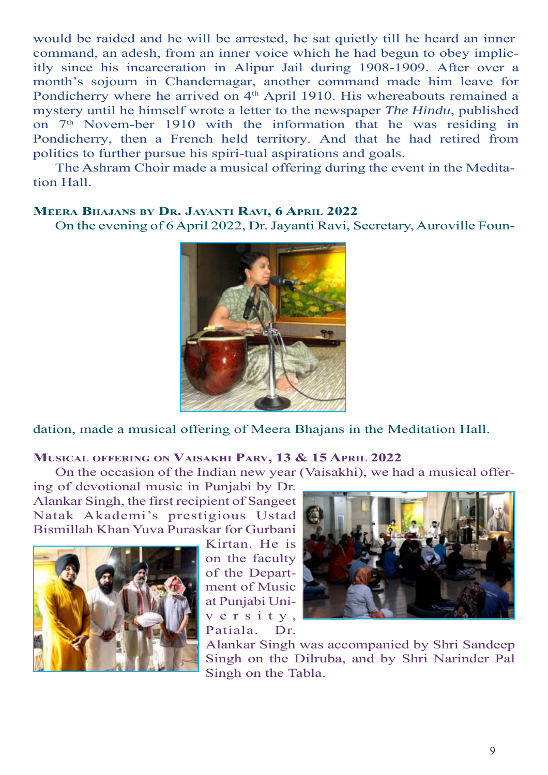would be raided and he will be arrested, he sat quietly till he heard an inner command, an adesh, from an inner voice which he had begun to obey implicitly since his incarceration in Alipur Jail during 1908-1909. After over a month's sojourn in Chandernagar, another command made him leave for Pondicherry where he arrived on 4<sup>th</sup> April 1910. His whereabouts remained a mystery until he himself wrote a letter to the newspaper *The Hindu*, published on  $7<sup>th</sup>$  Novem-ber 1910 with the information that he was residing in Pondicherry, then a French held territory. And that he had retired from politics to further pursue his spiri-tual aspirations and goals.

The Ashram Choir made a musical offering during the event in the Meditation Hall.

#### **MEERA BHAJANS BY DR. JAYANTI RAVI, 6 APRIL 2022**

On the evening of 6 April 2022, Dr. Jayanti Ravi, Secretary, Auroville Foun-



dation, made a musical offering of Meera Bhajans in the Meditation Hall.

#### **MUSICAL OFFERING ON VAISAKHI PARV, 13 & 15 APRIL 2022**

On the occasion of the Indian new year (Vaisakhi), we had a musical offer-

ing of devotional music in Punjabi by Dr. Alankar Singh, the first recipient of Sangeet Natak Akademi's prestigious Ustad Bismillah Khan Yuva Puraskar for Gurbani



Kirtan. He is on the faculty of the Department of Music at Punjabi University, Patiala. Dr.



Alankar Singh was accompanied by Shri Sandeep Singh on the Dilruba, and by Shri Narinder Pal Singh on the Tabla.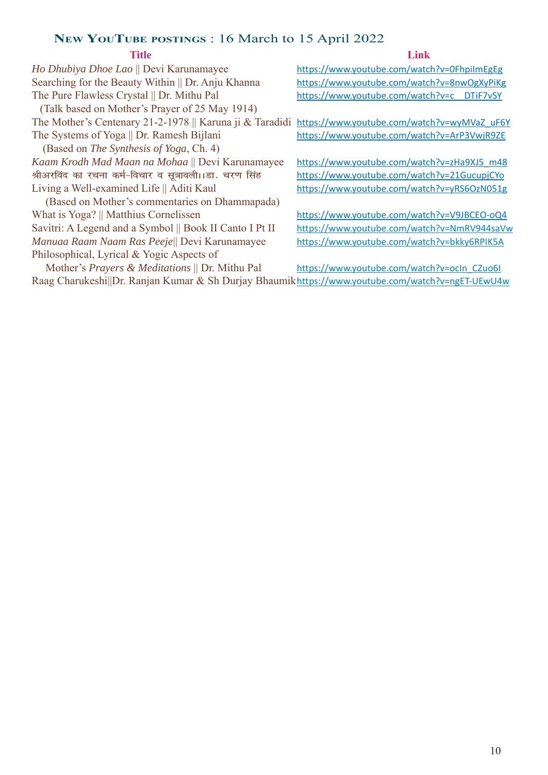### **NEW YOUTUBE POSTINGS** : 16 March to 15 April 2022

#### **Title** Link

Living a Well-examined Life || Aditi Kaul

Philosophical, Lyrical & Yogic Aspects of

What is Yoga? || Matthius Cornelissen

(Based on Mother's commentaries on Dhammapada)

Savitri: A Legend and a Symbol || Book II Canto I Pt II *Manuaa Raam Naam Ras Peeje*|| Devi Karunamayee

*Ho Dhubiya Dhoe Lao* || Devi Karunamayee Searching for the Beauty Within || Dr. Anju Khanna The Pure Flawless Crystal || Dr. Mithu Pal (Talk based on Mother's Prayer of 25 May 1914) The Mother's Centenary 21-2-1978 || Karuna ji & Taradidi https://www.youtube.com/watch?v=wyMVaZ\_uF6Y The Systems of Yoga || Dr. Ramesh Bijlani (Based on *The Synthesis of Yoga*, Ch. 4) *Kaam Krodh Mad Maan na Mohaa* || Devi Karunamayee श्रीअरविंद का रचना कर्म-विचार व सूत्रावली।।डा. चरण सिंह https://www.youtube.com/watch?v=0FhpiImEgEg https://www.youtube.com/watch?v=8nwOgXyPiKg https://www.youtube.com/watch?v=c\_\_DTiF7vSY https://www.youtube.com/watch?v=ArP3VwjR9ZE https://www.youtube.com/watch?v=zHa9XJ5\_m48

https://www.youtube.com/watch?v=21GucupjCYo https://www.youtube.com/watch?v=yRS6OzN051g

https://www.youtube.com/watch?v=V9JBCEO-oQ4 https://www.youtube.com/watch?v=NmRV944saVw https://www.youtube.com/watch?v=bkky6RPIK5A

 Mother's *Prayers & Meditations* || Dr. Mithu Pal Raag Charukeshi||Dr. Ranjan Kumar & Sh Durjay Bhaumikhttps://www.youtube.com/watch?v=ngET-UEwU4w https://www.youtube.com/watch?v=ocIn\_CZuo6I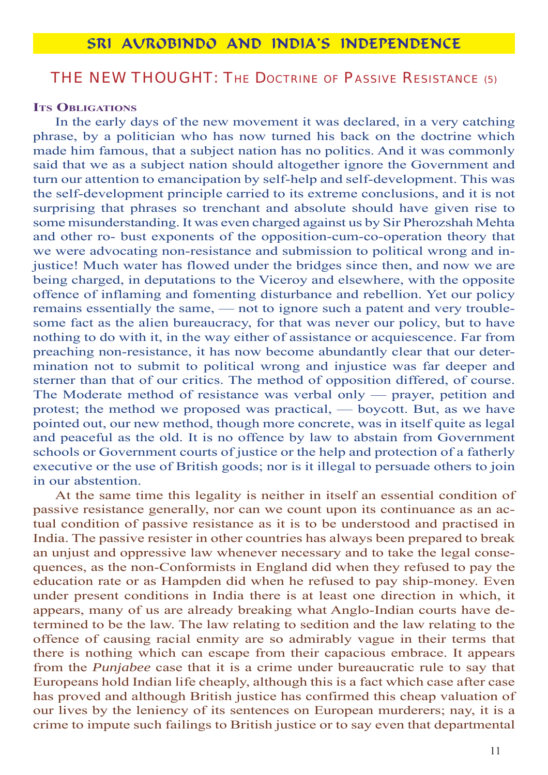### SRI AUROBINDO AND INDIA'S INDEPENDENCE

### THE NEW THOUGHT: THE DOCTRINE OF PASSIVE RESISTANCE (5)

#### **ITS OBLIGATIONS**

In the early days of the new movement it was declared, in a very catching phrase, by a politician who has now turned his back on the doctrine which made him famous, that a subject nation has no politics. And it was commonly said that we as a subject nation should altogether ignore the Government and turn our attention to emancipation by self-help and self-development. This was the self-development principle carried to its extreme conclusions, and it is not surprising that phrases so trenchant and absolute should have given rise to some misunderstanding. It was even charged against us by Sir Pherozshah Mehta and other ro- bust exponents of the opposition-cum-co-operation theory that we were advocating non-resistance and submission to political wrong and injustice! Much water has flowed under the bridges since then, and now we are being charged, in deputations to the Viceroy and elsewhere, with the opposite offence of inflaming and fomenting disturbance and rebellion. Yet our policy remains essentially the same, — not to ignore such a patent and very troublesome fact as the alien bureaucracy, for that was never our policy, but to have nothing to do with it, in the way either of assistance or acquiescence. Far from preaching non-resistance, it has now become abundantly clear that our determination not to submit to political wrong and injustice was far deeper and sterner than that of our critics. The method of opposition differed, of course. The Moderate method of resistance was verbal only — prayer, petition and protest; the method we proposed was practical, — boycott. But, as we have pointed out, our new method, though more concrete, was in itself quite as legal and peaceful as the old. It is no offence by law to abstain from Government schools or Government courts of justice or the help and protection of a fatherly executive or the use of British goods; nor is it illegal to persuade others to join in our abstention.

At the same time this legality is neither in itself an essential condition of passive resistance generally, nor can we count upon its continuance as an actual condition of passive resistance as it is to be understood and practised in India. The passive resister in other countries has always been prepared to break an unjust and oppressive law whenever necessary and to take the legal consequences, as the non-Conformists in England did when they refused to pay the education rate or as Hampden did when he refused to pay ship-money. Even under present conditions in India there is at least one direction in which, it appears, many of us are already breaking what Anglo-Indian courts have determined to be the law. The law relating to sedition and the law relating to the offence of causing racial enmity are so admirably vague in their terms that there is nothing which can escape from their capacious embrace. It appears from the *Punjabee* case that it is a crime under bureaucratic rule to say that Europeans hold Indian life cheaply, although this is a fact which case after case has proved and although British justice has confirmed this cheap valuation of our lives by the leniency of its sentences on European murderers; nay, it is a crime to impute such failings to British justice or to say even that departmental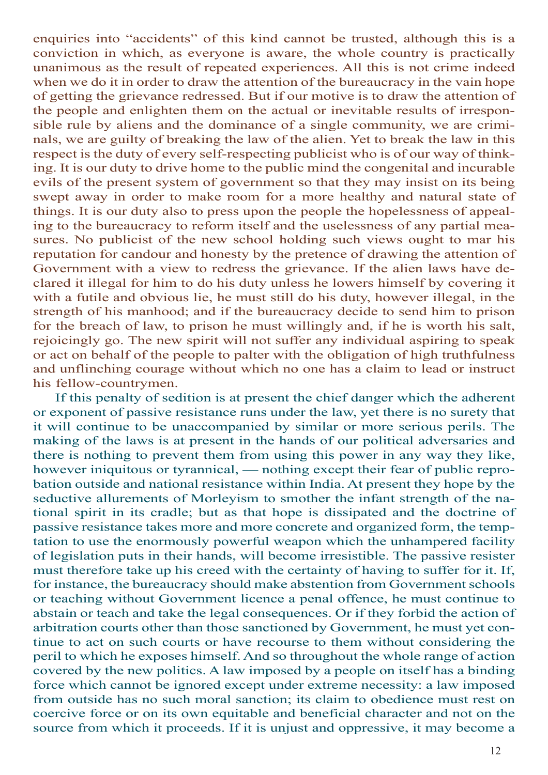enquiries into "accidents" of this kind cannot be trusted, although this is a conviction in which, as everyone is aware, the whole country is practically unanimous as the result of repeated experiences. All this is not crime indeed when we do it in order to draw the attention of the bureaucracy in the vain hope of getting the grievance redressed. But if our motive is to draw the attention of the people and enlighten them on the actual or inevitable results of irresponsible rule by aliens and the dominance of a single community, we are criminals, we are guilty of breaking the law of the alien. Yet to break the law in this respect is the duty of every self-respecting publicist who is of our way of thinking. It is our duty to drive home to the public mind the congenital and incurable evils of the present system of government so that they may insist on its being swept away in order to make room for a more healthy and natural state of things. It is our duty also to press upon the people the hopelessness of appealing to the bureaucracy to reform itself and the uselessness of any partial measures. No publicist of the new school holding such views ought to mar his reputation for candour and honesty by the pretence of drawing the attention of Government with a view to redress the grievance. If the alien laws have declared it illegal for him to do his duty unless he lowers himself by covering it with a futile and obvious lie, he must still do his duty, however illegal, in the strength of his manhood; and if the bureaucracy decide to send him to prison for the breach of law, to prison he must willingly and, if he is worth his salt, rejoicingly go. The new spirit will not suffer any individual aspiring to speak or act on behalf of the people to palter with the obligation of high truthfulness and unflinching courage without which no one has a claim to lead or instruct his fellow-countrymen.

If this penalty of sedition is at present the chief danger which the adherent or exponent of passive resistance runs under the law, yet there is no surety that it will continue to be unaccompanied by similar or more serious perils. The making of the laws is at present in the hands of our political adversaries and there is nothing to prevent them from using this power in any way they like, however iniquitous or tyrannical, — nothing except their fear of public reprobation outside and national resistance within India. At present they hope by the seductive allurements of Morleyism to smother the infant strength of the national spirit in its cradle; but as that hope is dissipated and the doctrine of passive resistance takes more and more concrete and organized form, the temptation to use the enormously powerful weapon which the unhampered facility of legislation puts in their hands, will become irresistible. The passive resister must therefore take up his creed with the certainty of having to suffer for it. If, for instance, the bureaucracy should make abstention from Government schools or teaching without Government licence a penal offence, he must continue to abstain or teach and take the legal consequences. Or if they forbid the action of arbitration courts other than those sanctioned by Government, he must yet continue to act on such courts or have recourse to them without considering the peril to which he exposes himself. And so throughout the whole range of action covered by the new politics. A law imposed by a people on itself has a binding force which cannot be ignored except under extreme necessity: a law imposed from outside has no such moral sanction; its claim to obedience must rest on coercive force or on its own equitable and beneficial character and not on the source from which it proceeds. If it is unjust and oppressive, it may become a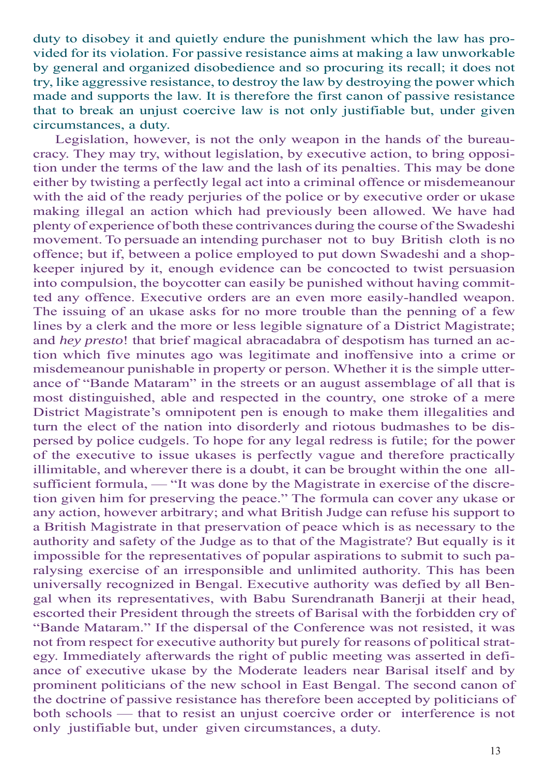duty to disobey it and quietly endure the punishment which the law has provided for its violation. For passive resistance aims at making a law unworkable by general and organized disobedience and so procuring its recall; it does not try, like aggressive resistance, to destroy the law by destroying the power which made and supports the law. It is therefore the first canon of passive resistance that to break an unjust coercive law is not only justifiable but, under given circumstances, a duty.

Legislation, however, is not the only weapon in the hands of the bureaucracy. They may try, without legislation, by executive action, to bring opposition under the terms of the law and the lash of its penalties. This may be done either by twisting a perfectly legal act into a criminal offence or misdemeanour with the aid of the ready perjuries of the police or by executive order or ukase making illegal an action which had previously been allowed. We have had plenty of experience of both these contrivances during the course of the Swadeshi movement. To persuade an intending purchaser not to buy British cloth is no offence; but if, between a police employed to put down Swadeshi and a shopkeeper injured by it, enough evidence can be concocted to twist persuasion into compulsion, the boycotter can easily be punished without having committed any offence. Executive orders are an even more easily-handled weapon. The issuing of an ukase asks for no more trouble than the penning of a few lines by a clerk and the more or less legible signature of a District Magistrate; and *hey presto*! that brief magical abracadabra of despotism has turned an action which five minutes ago was legitimate and inoffensive into a crime or misdemeanour punishable in property or person. Whether it is the simple utterance of "Bande Mataram" in the streets or an august assemblage of all that is most distinguished, able and respected in the country, one stroke of a mere District Magistrate's omnipotent pen is enough to make them illegalities and turn the elect of the nation into disorderly and riotous budmashes to be dispersed by police cudgels. To hope for any legal redress is futile; for the power of the executive to issue ukases is perfectly vague and therefore practically illimitable, and wherever there is a doubt, it can be brought within the one allsufficient formula, — "It was done by the Magistrate in exercise of the discretion given him for preserving the peace." The formula can cover any ukase or any action, however arbitrary; and what British Judge can refuse his support to a British Magistrate in that preservation of peace which is as necessary to the authority and safety of the Judge as to that of the Magistrate? But equally is it impossible for the representatives of popular aspirations to submit to such paralysing exercise of an irresponsible and unlimited authority. This has been universally recognized in Bengal. Executive authority was defied by all Bengal when its representatives, with Babu Surendranath Banerji at their head, escorted their President through the streets of Barisal with the forbidden cry of "Bande Mataram." If the dispersal of the Conference was not resisted, it was not from respect for executive authority but purely for reasons of political strategy. Immediately afterwards the right of public meeting was asserted in defiance of executive ukase by the Moderate leaders near Barisal itself and by prominent politicians of the new school in East Bengal. The second canon of the doctrine of passive resistance has therefore been accepted by politicians of both schools — that to resist an unjust coercive order or interference is not only justifiable but, under given circumstances, a duty.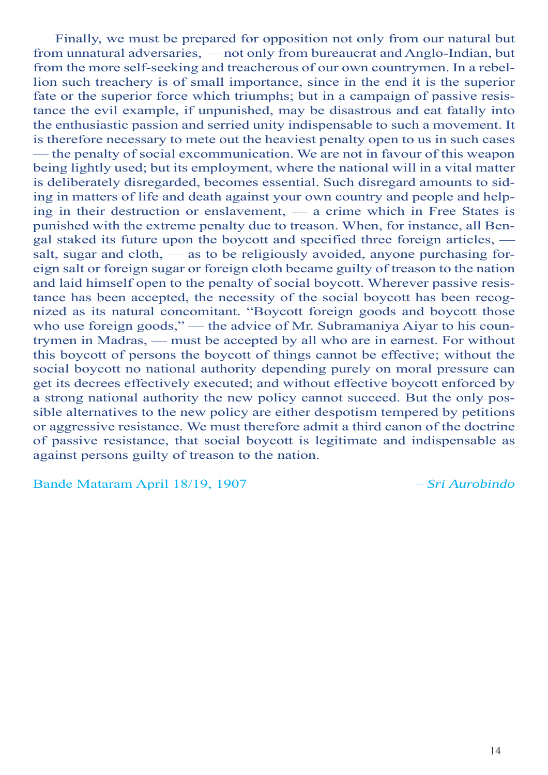Finally, we must be prepared for opposition not only from our natural but from unnatural adversaries, — not only from bureaucrat and Anglo-Indian, but from the more self-seeking and treacherous of our own countrymen. In a rebellion such treachery is of small importance, since in the end it is the superior fate or the superior force which triumphs; but in a campaign of passive resistance the evil example, if unpunished, may be disastrous and eat fatally into the enthusiastic passion and serried unity indispensable to such a movement. It is therefore necessary to mete out the heaviest penalty open to us in such cases — the penalty of social excommunication. We are not in favour of this weapon being lightly used; but its employment, where the national will in a vital matter is deliberately disregarded, becomes essential. Such disregard amounts to siding in matters of life and death against your own country and people and helping in their destruction or enslavement, — a crime which in Free States is punished with the extreme penalty due to treason. When, for instance, all Bengal staked its future upon the boycott and specified three foreign articles, salt, sugar and cloth,  $\overline{\phantom{a}}$  as to be religiously avoided, anyone purchasing foreign salt or foreign sugar or foreign cloth became guilty of treason to the nation and laid himself open to the penalty of social boycott. Wherever passive resistance has been accepted, the necessity of the social boycott has been recognized as its natural concomitant. "Boycott foreign goods and boycott those who use foreign goods," — the advice of Mr. Subramaniya Aiyar to his countrymen in Madras, — must be accepted by all who are in earnest. For without this boycott of persons the boycott of things cannot be effective; without the social boycott no national authority depending purely on moral pressure can get its decrees effectively executed; and without effective boycott enforced by a strong national authority the new policy cannot succeed. But the only possible alternatives to the new policy are either despotism tempered by petitions or aggressive resistance. We must therefore admit a third canon of the doctrine of passive resistance, that social boycott is legitimate and indispensable as against persons guilty of treason to the nation.

Bande Mataram April 18/19, 1907 – *Sri Aurobindo*